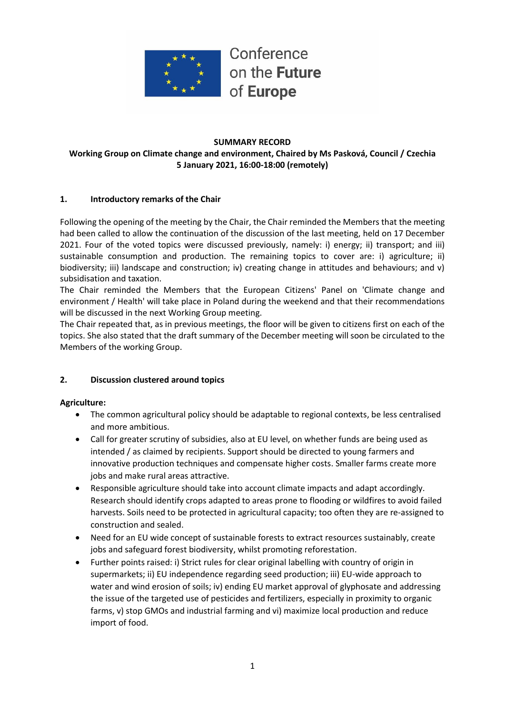

Conference on the Future of Europe

### **SUMMARY RECORD Working Group on Climate change and environment, Chaired by Ms Pasková, Council / Czechia 5 January 2021, 16:00-18:00 (remotely)**

## **1. Introductory remarks of the Chair**

Following the opening of the meeting by the Chair, the Chair reminded the Members that the meeting had been called to allow the continuation of the discussion of the last meeting, held on 17 December 2021. Four of the voted topics were discussed previously, namely: i) energy; ii) transport; and iii) sustainable consumption and production. The remaining topics to cover are: i) agriculture; ii) biodiversity; iii) landscape and construction; iv) creating change in attitudes and behaviours; and v) subsidisation and taxation.

The Chair reminded the Members that the European Citizens' Panel on 'Climate change and environment / Health' will take place in Poland during the weekend and that their recommendations will be discussed in the next Working Group meeting.

The Chair repeated that, as in previous meetings, the floor will be given to citizens first on each of the topics. She also stated that the draft summary of the December meeting will soon be circulated to the Members of the working Group.

# **2. Discussion clustered around topics**

### **Agriculture:**

- The common agricultural policy should be adaptable to regional contexts, be less centralised and more ambitious.
- Call for greater scrutiny of subsidies, also at EU level, on whether funds are being used as intended / as claimed by recipients. Support should be directed to young farmers and innovative production techniques and compensate higher costs. Smaller farms create more jobs and make rural areas attractive.
- Responsible agriculture should take into account climate impacts and adapt accordingly. Research should identify crops adapted to areas prone to flooding or wildfires to avoid failed harvests. Soils need to be protected in agricultural capacity; too often they are re-assigned to construction and sealed.
- Need for an EU wide concept of sustainable forests to extract resources sustainably, create jobs and safeguard forest biodiversity, whilst promoting reforestation.
- Further points raised: i) Strict rules for clear original labelling with country of origin in supermarkets; ii) EU independence regarding seed production; iii) EU-wide approach to water and wind erosion of soils; iv) ending EU market approval of glyphosate and addressing the issue of the targeted use of pesticides and fertilizers, especially in proximity to organic farms, v) stop GMOs and industrial farming and vi) maximize local production and reduce import of food.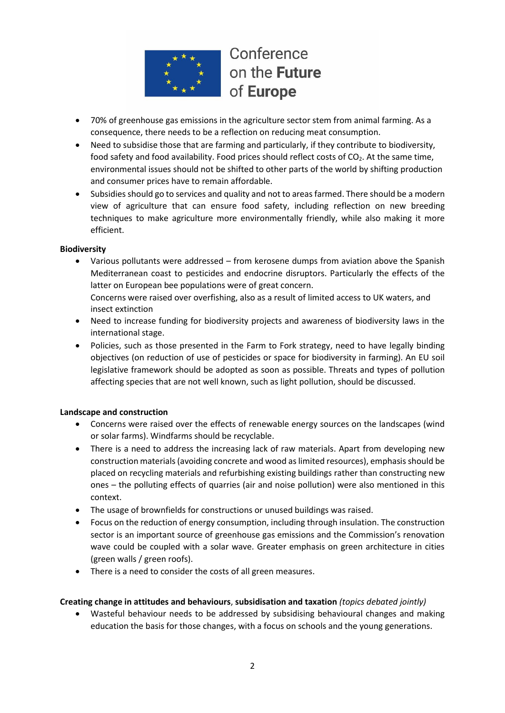

# Conference on the Future of Europe

- 70% of greenhouse gas emissions in the agriculture sector stem from animal farming. As a consequence, there needs to be a reflection on reducing meat consumption.
- Need to subsidise those that are farming and particularly, if they contribute to biodiversity, food safety and food availability. Food prices should reflect costs of  $CO<sub>2</sub>$ . At the same time, environmental issues should not be shifted to other parts of the world by shifting production and consumer prices have to remain affordable.
- Subsidies should go to services and quality and not to areas farmed. There should be a modern view of agriculture that can ensure food safety, including reflection on new breeding techniques to make agriculture more environmentally friendly, while also making it more efficient.

### **Biodiversity**

- Various pollutants were addressed from kerosene dumps from aviation above the Spanish Mediterranean coast to pesticides and endocrine disruptors. Particularly the effects of the latter on European bee populations were of great concern. Concerns were raised over overfishing, also as a result of limited access to UK waters, and
	- insect extinction
- Need to increase funding for biodiversity projects and awareness of biodiversity laws in the international stage.
- Policies, such as those presented in the Farm to Fork strategy, need to have legally binding objectives (on reduction of use of pesticides or space for biodiversity in farming). An EU soil legislative framework should be adopted as soon as possible. Threats and types of pollution affecting species that are not well known, such as light pollution, should be discussed.

### **Landscape and construction**

- Concerns were raised over the effects of renewable energy sources on the landscapes (wind or solar farms). Windfarms should be recyclable.
- There is a need to address the increasing lack of raw materials. Apart from developing new construction materials (avoiding concrete and wood as limited resources), emphasis should be placed on recycling materials and refurbishing existing buildings rather than constructing new ones – the polluting effects of quarries (air and noise pollution) were also mentioned in this context.
- The usage of brownfields for constructions or unused buildings was raised.
- Focus on the reduction of energy consumption, including through insulation. The construction sector is an important source of greenhouse gas emissions and the Commission's renovation wave could be coupled with a solar wave. Greater emphasis on green architecture in cities (green walls / green roofs).
- There is a need to consider the costs of all green measures.

### **Creating change in attitudes and behaviours**, **subsidisation and taxation** *(topics debated jointly)*

• Wasteful behaviour needs to be addressed by subsidising behavioural changes and making education the basis for those changes, with a focus on schools and the young generations.